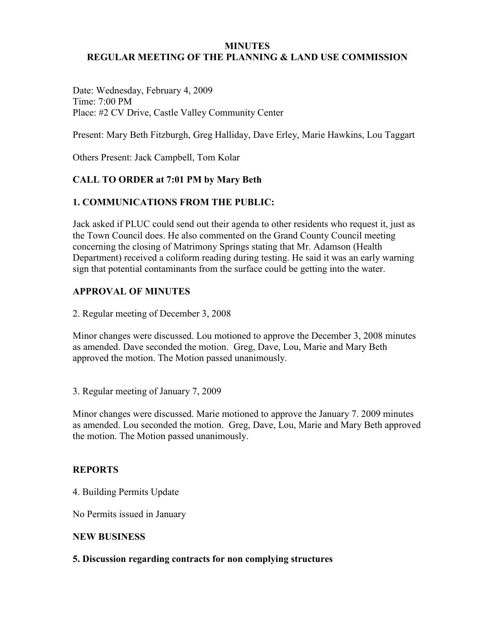#### **MINUTES**

#### **REGULAR MEETING OF THE PLANNING & LAND USE COMMISSION**

Date: Wednesday, February 4, 2009 Time: 7:00 PM Place: #2 CV Drive, Castle Valley Community Center

Present: Mary Beth Fitzburgh, Greg Halliday, Dave Erley, Marie Hawkins, Lou Taggart

Others Present: Jack Campbell, Tom Kolar

# **CALL TO ORDER at 7:01 PM by Mary Beth**

## **1. COMMUNICATIONS FROM THE PUBLIC:**

Jack asked if PLUC could send out their agenda to other residents who request it, just as the Town Council does. He also commented on the Grand County Council meeting concerning the closing of Matrimony Springs stating that Mr. Adamson (Health Department) received a coliform reading during testing. He said it was an early warning sign that potential contaminants from the surface could be getting into the water.

# **APPROVAL OF MINUTES**

2. Regular meeting of December 3, 2008

Minor changes were discussed. Lou motioned to approve the December 3, 2008 minutes as amended. Dave seconded the motion. Greg, Dave, Lou, Marie and Mary Beth approved the motion. The Motion passed unanimously.

3. Regular meeting of January 7, 2009

Minor changes were discussed. Marie motioned to approve the January 7. 2009 minutes as amended. Lou seconded the motion. Greg, Dave, Lou, Marie and Mary Beth approved the motion. The Motion passed unanimously.

## **REPORTS**

4. Building Permits Update

No Permits issued in January

#### **NEW BUSINESS**

#### **5. Discussion regarding contracts for non complying structures**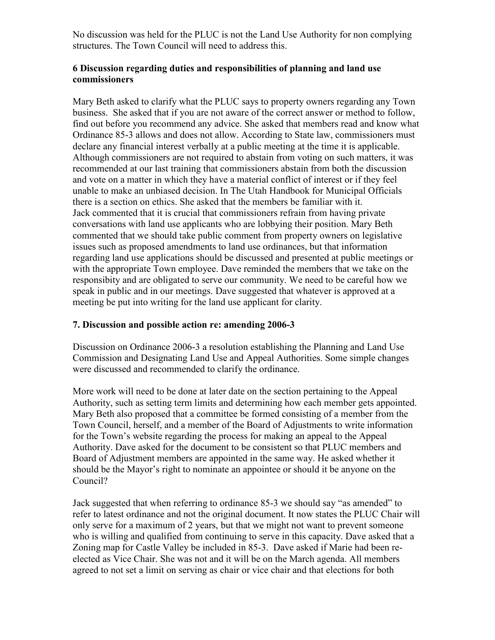No discussion was held for the PLUC is not the Land Use Authority for non complying structures. The Town Council will need to address this.

### **6 Discussion regarding duties and responsibilities of planning and land use commissioners**

Mary Beth asked to clarify what the PLUC says to property owners regarding any Town business. She asked that if you are not aware of the correct answer or method to follow, find out before you recommend any advice. She asked that members read and know what Ordinance 85-3 allows and does not allow. According to State law, commissioners must declare any financial interest verbally at a public meeting at the time it is applicable. Although commissioners are not required to abstain from voting on such matters, it was recommended at our last training that commissioners abstain from both the discussion and vote on a matter in which they have a material conflict of interest or if they feel unable to make an unbiased decision. In The Utah Handbook for Municipal Officials there is a section on ethics. She asked that the members be familiar with it. Jack commented that it is crucial that commissioners refrain from having private conversations with land use applicants who are lobbying their position. Mary Beth commented that we should take public comment from property owners on legislative issues such as proposed amendments to land use ordinances, but that information regarding land use applications should be discussed and presented at public meetings or with the appropriate Town employee. Dave reminded the members that we take on the responsibity and are obligated to serve our community. We need to be careful how we speak in public and in our meetings. Dave suggested that whatever is approved at a meeting be put into writing for the land use applicant for clarity.

# **7. Discussion and possible action re: amending 2006-3**

Discussion on Ordinance 2006-3 a resolution establishing the Planning and Land Use Commission and Designating Land Use and Appeal Authorities. Some simple changes were discussed and recommended to clarify the ordinance.

More work will need to be done at later date on the section pertaining to the Appeal Authority, such as setting term limits and determining how each member gets appointed. Mary Beth also proposed that a committee be formed consisting of a member from the Town Council, herself, and a member of the Board of Adjustments to write information for the Town's website regarding the process for making an appeal to the Appeal Authority. Dave asked for the document to be consistent so that PLUC members and Board of Adjustment members are appointed in the same way. He asked whether it should be the Mayor's right to nominate an appointee or should it be anyone on the Council?

Jack suggested that when referring to ordinance 85-3 we should say "as amended" to refer to latest ordinance and not the original document. It now states the PLUC Chair will only serve for a maximum of 2 years, but that we might not want to prevent someone who is willing and qualified from continuing to serve in this capacity. Dave asked that a Zoning map for Castle Valley be included in 85-3. Dave asked if Marie had been reelected as Vice Chair. She was not and it will be on the March agenda. All members agreed to not set a limit on serving as chair or vice chair and that elections for both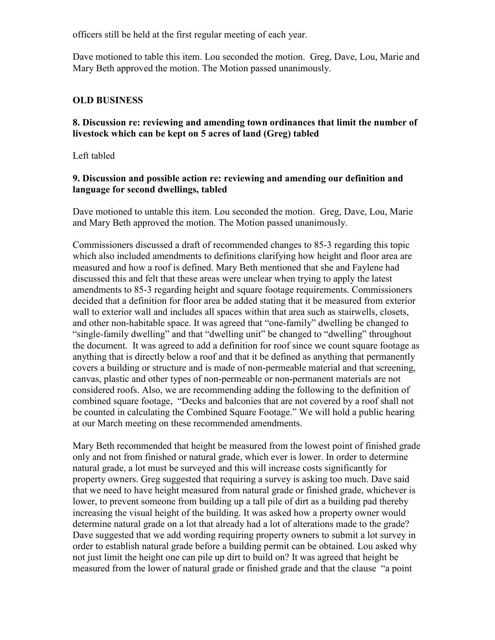officers still be held at the first regular meeting of each year.

Dave motioned to table this item. Lou seconded the motion. Greg, Dave, Lou, Marie and Mary Beth approved the motion. The Motion passed unanimously.

#### **OLD BUSINESS**

### **8. Discussion re: reviewing and amending town ordinances that limit the number of livestock which can be kept on 5 acres of land (Greg) tabled**

Left tabled

#### **9. Discussion and possible action re: reviewing and amending our definition and language for second dwellings, tabled**

Dave motioned to untable this item. Lou seconded the motion. Greg, Dave, Lou, Marie and Mary Beth approved the motion. The Motion passed unanimously.

Commissioners discussed a draft of recommended changes to 85-3 regarding this topic which also included amendments to definitions clarifying how height and floor area are measured and how a roof is defined. Mary Beth mentioned that she and Faylene had discussed this and felt that these areas were unclear when trying to apply the latest amendments to 85-3 regarding height and square footage requirements. Commissioners decided that a definition for floor area be added stating that it be measured from exterior wall to exterior wall and includes all spaces within that area such as stairwells, closets, and other non-habitable space. It was agreed that "one-family" dwelling be changed to "single-family dwelling" and that "dwelling unit" be changed to "dwelling" throughout the document. It was agreed to add a definition for roof since we count square footage as anything that is directly below a roof and that it be defined as anything that permanently covers a building or structure and is made of non-permeable material and that screening, canvas, plastic and other types of non-permeable or non-permanent materials are not considered roofs. Also, we are recommending adding the following to the definition of combined square footage, "Decks and balconies that are not covered by a roof shall not be counted in calculating the Combined Square Footage." We will hold a public hearing at our March meeting on these recommended amendments.

Mary Beth recommended that height be measured from the lowest point of finished grade only and not from finished or natural grade, which ever is lower. In order to determine natural grade, a lot must be surveyed and this will increase costs significantly for property owners. Greg suggested that requiring a survey is asking too much. Dave said that we need to have height measured from natural grade or finished grade, whichever is lower, to prevent someone from building up a tall pile of dirt as a building pad thereby increasing the visual height of the building. It was asked how a property owner would determine natural grade on a lot that already had a lot of alterations made to the grade? Dave suggested that we add wording requiring property owners to submit a lot survey in order to establish natural grade before a building permit can be obtained. Lou asked why not just limit the height one can pile up dirt to build on? It was agreed that height be measured from the lower of natural grade or finished grade and that the clause "a point